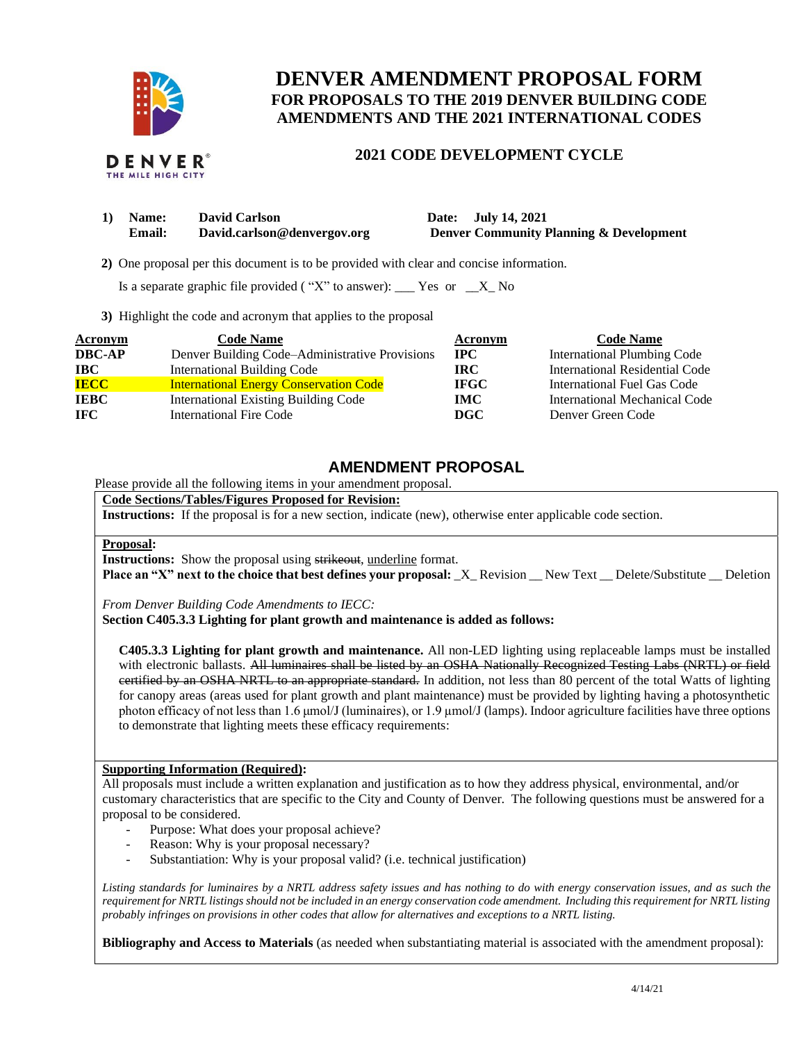

# **DENVER AMENDMENT PROPOSAL FORM FOR PROPOSALS TO THE 2019 DENVER BUILDING CODE AMENDMENTS AND THE 2021 INTERNATIONAL CODES**

## **2021 CODE DEVELOPMENT CYCLE**

| 1) Name: | <b>David Carlson</b> |  |
|----------|----------------------|--|
|          | - -                  |  |

**1) Name: David Carlson Date: July 14, 2021 Email: David.carlson@denvergov.org Denver Community Planning & Development**

 **2)** One proposal per this document is to be provided with clear and concise information.

Is a separate graphic file provided ("X" to answer): \_\_\_ Yes or  $X$  No

**3)** Highlight the code and acronym that applies to the proposal

| <b>Acronym</b> | <b>Code Name</b>                               | Acronym     | <b>Code Name</b>                   |
|----------------|------------------------------------------------|-------------|------------------------------------|
| <b>DBC-AP</b>  | Denver Building Code–Administrative Provisions | <b>IPC</b>  | <b>International Plumbing Code</b> |
| <b>IBC</b>     | International Building Code                    | IRC.        | International Residential Code     |
| <b>IECC</b>    | <b>International Energy Conservation Code</b>  | <b>IFGC</b> | International Fuel Gas Code        |
| <b>IEBC</b>    | <b>International Existing Building Code</b>    | <b>IMC</b>  | International Mechanical Code      |
| IFC.           | <b>International Fire Code</b>                 | <b>DGC</b>  | Denver Green Code                  |

# **AMENDMENT PROPOSAL**

Please provide all the following items in your amendment proposal.

### **Code Sections/Tables/Figures Proposed for Revision:**

**Instructions:** If the proposal is for a new section, indicate (new), otherwise enter applicable code section.

### **Proposal:**

**Instructions:** Show the proposal using strikeout, underline format.

**Place an "X" next to the choice that best defines your proposal:**  $X$  Revision New Text Delete/Substitute Deletion

*From Denver Building Code Amendments to IECC:*

**Section C405.3.3 Lighting for plant growth and maintenance is added as follows:**

**C405.3.3 Lighting for plant growth and maintenance.** All non-LED lighting using replaceable lamps must be installed with electronic ballasts. All luminaires shall be listed by an OSHA Nationally Recognized Testing Labs (NRTL) or field certified by an OSHA NRTL to an appropriate standard. In addition, not less than 80 percent of the total Watts of lighting for canopy areas (areas used for plant growth and plant maintenance) must be provided by lighting having a photosynthetic photon efficacy of not less than 1.6 μmol/J (luminaires), or 1.9 µmol/J (lamps). Indoor agriculture facilities have three options to demonstrate that lighting meets these efficacy requirements:

### **Supporting Information (Required):**

All proposals must include a written explanation and justification as to how they address physical, environmental, and/or customary characteristics that are specific to the City and County of Denver. The following questions must be answered for a proposal to be considered.

- Purpose: What does your proposal achieve?
- Reason: Why is your proposal necessary?
- Substantiation: Why is your proposal valid? (i.e. technical justification)

*Listing standards for luminaires by a NRTL address safety issues and has nothing to do with energy conservation issues, and as such the requirement for NRTL listings should not be included in an energy conservation code amendment. Including this requirement for NRTL listing probably infringes on provisions in other codes that allow for alternatives and exceptions to a NRTL listing.*

**Bibliography and Access to Materials** (as needed when substantiating material is associated with the amendment proposal):